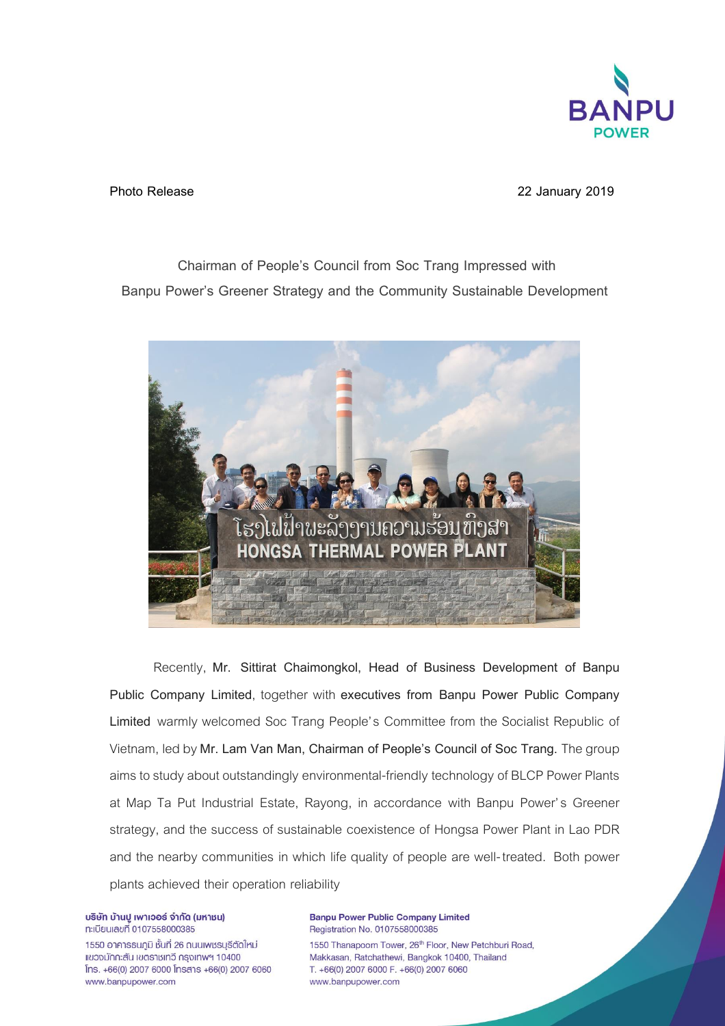

**Photo Release 22 January 2019**

**Chairman of People's Council from Soc Trang Impressed with Banpu Power's Greener Strategy and the Community Sustainable Development** 



Recently, **Mr. Sittirat Chaimongkol, Head of Business Development of Banpu Public Company Limited**, together with **executives from Banpu Power Public Company Limited** warmly welcomed Soc Trang People's Committee from the Socialist Republic of Vietnam, led by **Mr. Lam Van Man, Chairman of People's Council of Soc Trang.** The group aims to study about outstandingly environmental-friendly technology of BLCP Power Plants at Map Ta Put Industrial Estate, Rayong, in accordance with Banpu Power's Greener strategy, and the success of sustainable coexistence of Hongsa Power Plant in Lao PDR and the nearby communities in which life quality of people are well-treated. Both power plants achieved their operation reliability

บริษัท บ้านปู เพาเวอร์ จำกัด (มหาชน) ทะเบียนเลขที่ 0107558000385

1550 อาคารธนฏมิ ชั้นที่ 26 ถนนเพชรบุรีตัดใหม่ แขวงมักกะสัน เขตราชเทวี กรุงเทพฯ 10400  $[$ ns. +66(0) 2007 6000  $[$ nsans +66(0) 2007 6060 www.banpupower.com

**Banpu Power Public Company Limited** Registration No. 0107558000385 1550 Thanapoom Tower, 26th Floor, New Petchburi Road, Makkasan, Ratchathewi, Bangkok 10400, Thailand T. +66(0) 2007 6000 F. +66(0) 2007 6060 www.banpupower.com